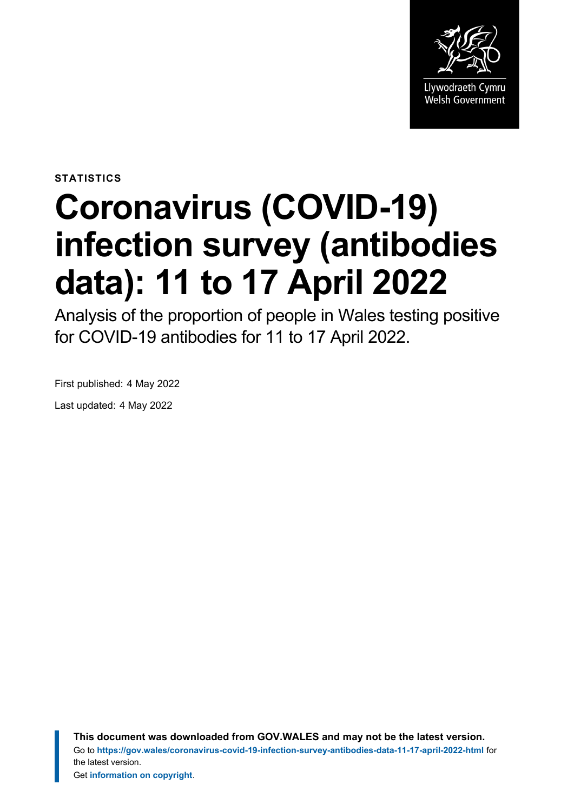

**STATISTICS**

# **Coronavirus (COVID-19) infection survey (antibodies data): 11 to 17 April 2022**

Analysis of the proportion of people in Wales testing positive for COVID-19 antibodies for 11 to 17 April 2022.

First published: 4 May 2022

Last updated: 4 May 2022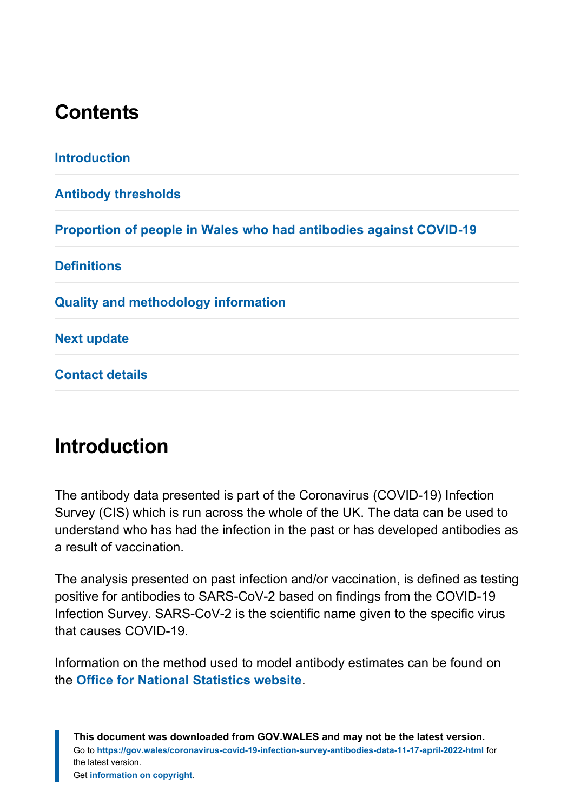## **Contents**

**[Introduction](#page-1-0) [Antibody thresholds](#page-2-0) [Proportion of people in Wales who had antibodies against COVID-19](#page-3-0) [Definitions](#page-7-0) [Quality and methodology information](#page-8-0) [Next update](#page-11-0) [Contact details](#page-11-1)**

# <span id="page-1-0"></span>**Introduction**

The antibody data presented is part of the Coronavirus (COVID-19) Infection Survey (CIS) which is run across the whole of the UK. The data can be used to understand who has had the infection in the past or has developed antibodies as a result of vaccination.

The analysis presented on past infection and/or vaccination, is defined as testing positive for antibodies to SARS-CoV-2 based on findings from the COVID-19 Infection Survey. SARS-CoV-2 is the scientific name given to the specific virus that causes COVID-19.

Information on the method used to model antibody estimates can be found on the **[Office for National Statistics](https://www.ons.gov.uk/peoplepopulationandcommunity/healthandsocialcare/conditionsanddiseases/methodologies/covid19infectionsurveypilotmethodsandfurtherinformation#antibody-and-vaccination-estimates) website**.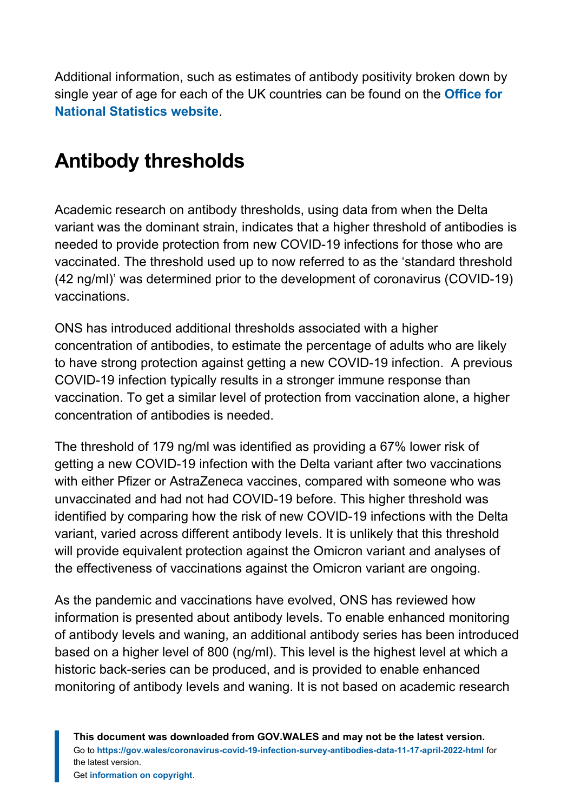Additional information, such as estimates of antibody positivity broken down by single year of age for each of the UK countries can be found on the **[Office for](https://www.ons.gov.uk/peoplepopulationandcommunity/healthandsocialcare/conditionsanddiseases/articles/coronaviruscovid19infectionsurveyantibodydatafortheuk/previousReleases) [National Statistics website](https://www.ons.gov.uk/peoplepopulationandcommunity/healthandsocialcare/conditionsanddiseases/articles/coronaviruscovid19infectionsurveyantibodydatafortheuk/previousReleases)**.

# <span id="page-2-0"></span>**Antibody thresholds**

Academic research on antibody thresholds, using data from when the Delta variant was the dominant strain, indicates that a higher threshold of antibodies is needed to provide protection from new COVID-19 infections for those who are vaccinated. The threshold used up to now referred to as the 'standard threshold (42 ng/ml)' was determined prior to the development of coronavirus (COVID-19) vaccinations.

ONS has introduced additional thresholds associated with a higher concentration of antibodies, to estimate the percentage of adults who are likely to have strong protection against getting a new COVID-19 infection. A previous COVID-19 infection typically results in a stronger immune response than vaccination. To get a similar level of protection from vaccination alone, a higher concentration of antibodies is needed.

The threshold of 179 ng/ml was identified as providing a 67% lower risk of getting a new COVID-19 infection with the Delta variant after two vaccinations with either Pfizer or AstraZeneca vaccines, compared with someone who was unvaccinated and had not had COVID-19 before. This higher threshold was identified by comparing how the risk of new COVID-19 infections with the Delta variant, varied across different antibody levels. It is unlikely that this threshold will provide equivalent protection against the Omicron variant and analyses of the effectiveness of vaccinations against the Omicron variant are ongoing.

As the pandemic and vaccinations have evolved, ONS has reviewed how information is presented about antibody levels. To enable enhanced monitoring of antibody levels and waning, an additional antibody series has been introduced based on a higher level of 800 (ng/ml). This level is the highest level at which a historic back-series can be produced, and is provided to enable enhanced monitoring of antibody levels and waning. It is not based on academic research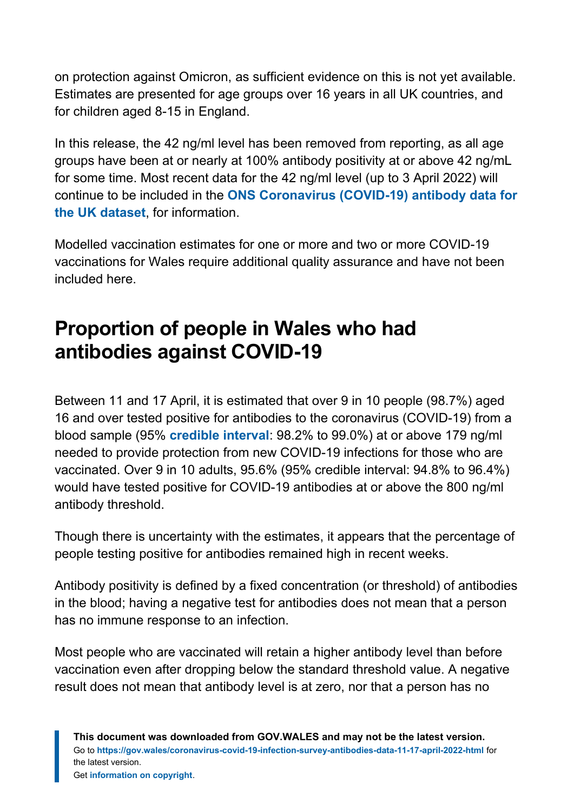on protection against Omicron, as sufficient evidence on this is not yet available. Estimates are presented for age groups over 16 years in all UK countries, and for children aged 8-15 in England.

In this release, the 42 ng/ml level has been removed from reporting, as all age groups have been at or nearly at 100% antibody positivity at or above 42 ng/mL for some time. Most recent data for the 42 ng/ml level (up to 3 April 2022) will continue to be included in the **ONS [Coronavirus \(COVID-19\) antibody data for](https://www.ons.gov.uk/peoplepopulationandcommunity/healthandsocialcare/conditionsanddiseases/datasets/coronaviruscovid19antibodydatafortheuk) [the UK dataset](https://www.ons.gov.uk/peoplepopulationandcommunity/healthandsocialcare/conditionsanddiseases/datasets/coronaviruscovid19antibodydatafortheuk)**, for information.

Modelled vaccination estimates for one or more and two or more COVID-19 vaccinations for Wales require additional quality assurance and have not been included here.

# <span id="page-3-0"></span>**Proportion of people in Wales who had antibodies against COVID-19**

Between 11 and 17 April, it is estimated that over 9 in 10 people (98.7%) aged 16 and over tested positive for antibodies to the coronavirus (COVID-19) from a blood sample (95% **[credible interval](#page-7-1)**: 98.2% to 99.0%) at or above 179 ng/ml needed to provide protection from new COVID-19 infections for those who are vaccinated. Over 9 in 10 adults, 95.6% (95% credible interval: 94.8% to 96.4%) would have tested positive for COVID-19 antibodies at or above the 800 ng/ml antibody threshold.

Though there is uncertainty with the estimates, it appears that the percentage of people testing positive for antibodies remained high in recent weeks.

Antibody positivity is defined by a fixed concentration (or threshold) of antibodies in the blood; having a negative test for antibodies does not mean that a person has no immune response to an infection.

Most people who are vaccinated will retain a higher antibody level than before vaccination even after dropping below the standard threshold value. A negative result does not mean that antibody level is at zero, nor that a person has no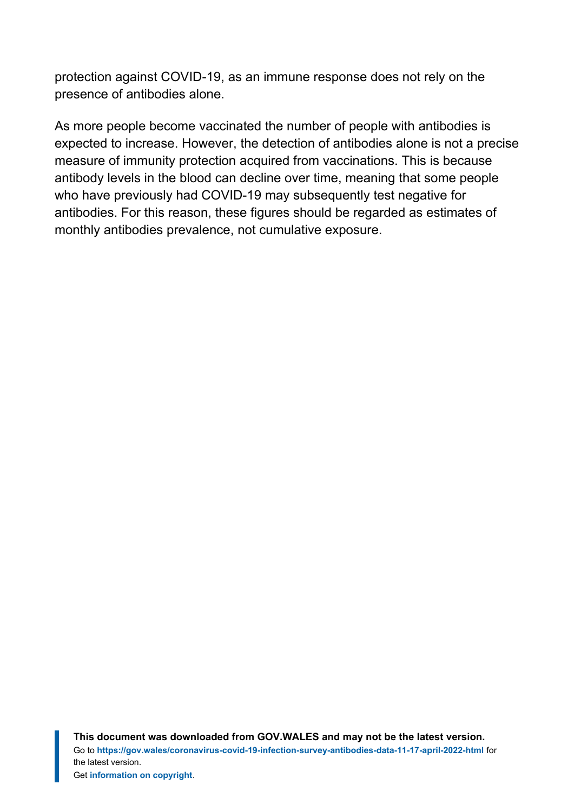protection against COVID-19, as an immune response does not rely on the presence of antibodies alone.

As more people become vaccinated the number of people with antibodies is expected to increase. However, the detection of antibodies alone is not a precise measure of immunity protection acquired from vaccinations. This is because antibody levels in the blood can decline over time, meaning that some people who have previously had COVID-19 may subsequently test negative for antibodies. For this reason, these figures should be regarded as estimates of monthly antibodies prevalence, not cumulative exposure.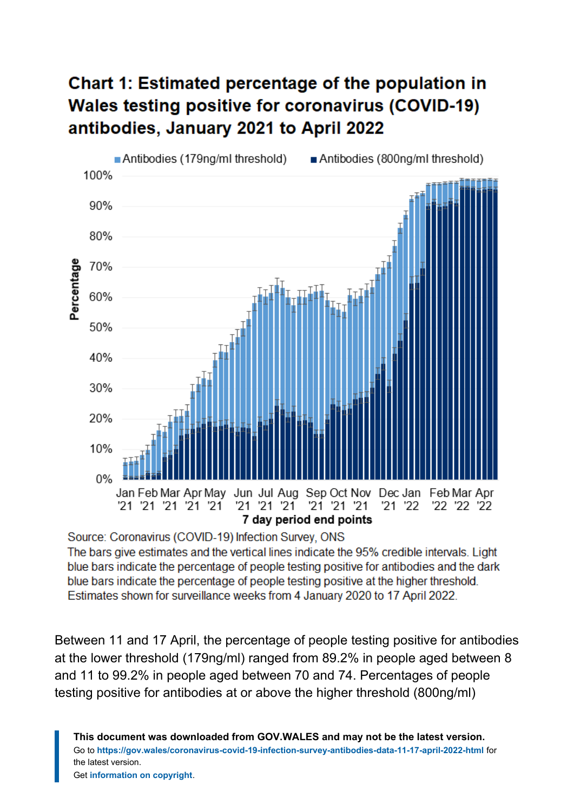## **Chart 1: Estimated percentage of the population in Wales testing positive for coronavirus (COVID-19)** antibodies, January 2021 to April 2022



Source: Coronavirus (COVID-19) Infection Survey, ONS The bars give estimates and the vertical lines indicate the 95% credible intervals. Light blue bars indicate the percentage of people testing positive for antibodies and the dark blue bars indicate the percentage of people testing positive at the higher threshold. Estimates shown for surveillance weeks from 4 January 2020 to 17 April 2022.

Between 11 and 17 April, the percentage of people testing positive for antibodies at the lower threshold (179ng/ml) ranged from 89.2% in people aged between 8 and 11 to 99.2% in people aged between 70 and 74. Percentages of people testing positive for antibodies at or above the higher threshold (800ng/ml)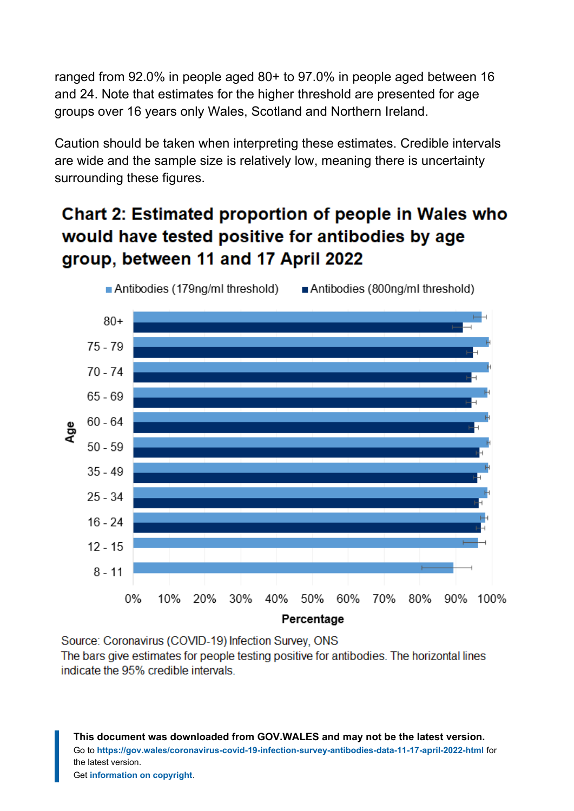ranged from 92.0% in people aged 80+ to 97.0% in people aged between 16 and 24. Note that estimates for the higher threshold are presented for age groups over 16 years only Wales, Scotland and Northern Ireland.

Caution should be taken when interpreting these estimates. Credible intervals are wide and the sample size is relatively low, meaning there is uncertainty surrounding these figures.

## **Chart 2: Estimated proportion of people in Wales who** would have tested positive for antibodies by age group, between 11 and 17 April 2022



Source: Coronavirus (COVID-19) Infection Survey, ONS

The bars give estimates for people testing positive for antibodies. The horizontal lines indicate the 95% credible intervals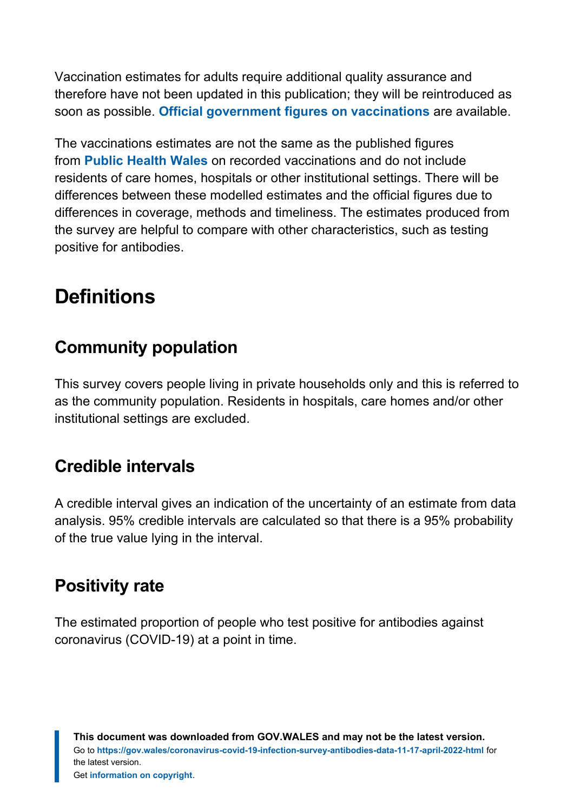Vaccination estimates for adults require additional quality assurance and therefore have not been updated in this publication; they will be reintroduced as soon as possible. **[Official government figures on vaccinations](https://coronavirus.data.gov.uk/details/vaccinations)** ar[e](https://coronavirus.data.gov.uk/details/vaccinations) available.

The vaccinations estimates are not the same as the published figures from **[Public Health Wales](https://public.tableau.com/profile/public.health.wales.health.protection#!/vizhome/RapidCOVID-19virology-Public/Headlinesummary)** on recorded vaccinations and do not include residents of care homes, hospitals or other institutional settings. There will be differences between these modelled estimates and the official figures due to differences in coverage, methods and timeliness. The estimates produced from the survey are helpful to compare with other characteristics, such as testing positive for antibodies.

# <span id="page-7-0"></span>**Definitions**

## <span id="page-7-2"></span>**Community population**

This survey covers people living in private households only and this is referred to as the community population. Residents in hospitals, care homes and/or other institutional settings are excluded.

#### <span id="page-7-1"></span>**Credible intervals**

A credible interval gives an indication of the uncertainty of an estimate from data analysis. 95% credible intervals are calculated so that there is a 95% probability of the true value lying in the interval.

#### **Positivity rate**

The estimated proportion of people who test positive for antibodies against coronavirus (COVID-19) at a point in time.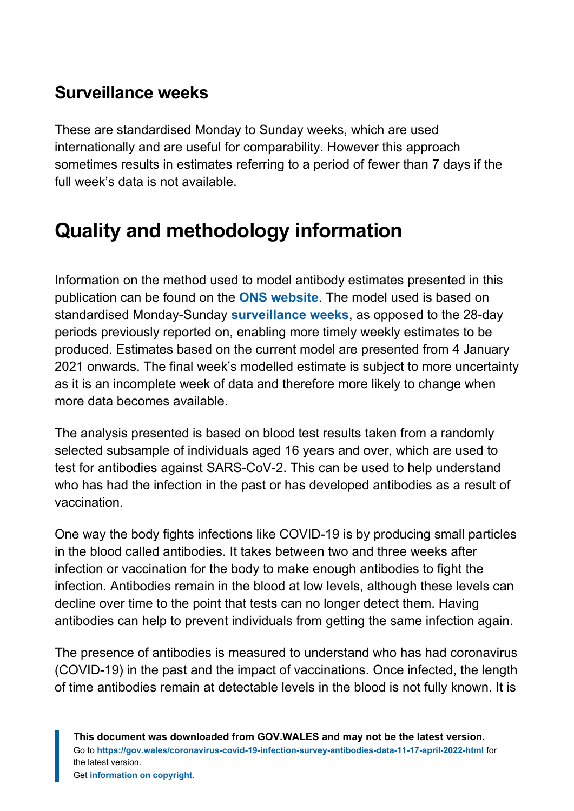#### <span id="page-8-1"></span>**Surveillance weeks**

These are standardised Monday to Sunday weeks, which are used internationally and are useful for comparability. However this approach sometimes results in estimates referring to a period of fewer than 7 days if the full week's data is not available.

# <span id="page-8-0"></span>**Quality and methodology information**

Information on the method used to model antibody estimates presented in this publication can be found on the **[ONS website](https://www.ons.gov.uk/peoplepopulationandcommunity/healthandsocialcare/conditionsanddiseases/methodologies/covid19infectionsurveypilotmethodsandfurtherinformation#antibody-and-vaccination-estimates)**. The model used is based on standardised Monday-Sunday **[surveillance weeks](#page-8-1)**, as opposed to the 28-day periods previously reported on, enabling more timely weekly estimates to be produced. Estimates based on the current model are presented from 4 January 2021 onwards. The final week's modelled estimate is subject to more uncertainty as it is an incomplete week of data and therefore more likely to change when more data becomes available.

The analysis presented is based on blood test results taken from a randomly selected subsample of individuals aged 16 years and over, which are used to test for antibodies against SARS-CoV-2. This can be used to help understand who has had the infection in the past or has developed antibodies as a result of vaccination.

One way the body fights infections like COVID-19 is by producing small particles in the blood called antibodies. It takes between two and three weeks after infection or vaccination for the body to make enough antibodies to fight the infection. Antibodies remain in the blood at low levels, although these levels can decline over time to the point that tests can no longer detect them. Having antibodies can help to prevent individuals from getting the same infection again.

The presence of antibodies is measured to understand who has had coronavirus (COVID-19) in the past and the impact of vaccinations. Once infected, the length of time antibodies remain at detectable levels in the blood is not fully known. It is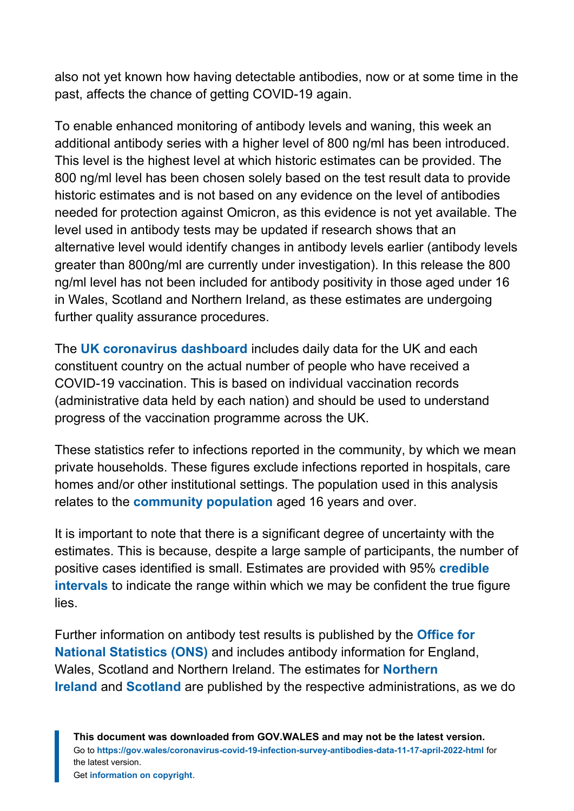also not yet known how having detectable antibodies, now or at some time in the past, affects the chance of getting COVID-19 again.

To enable enhanced monitoring of antibody levels and waning, this week an additional antibody series with a higher level of 800 ng/ml has been introduced. This level is the highest level at which historic estimates can be provided. The 800 ng/ml level has been chosen solely based on the test result data to provide historic estimates and is not based on any evidence on the level of antibodies needed for protection against Omicron, as this evidence is not yet available. The level used in antibody tests may be updated if research shows that an alternative level would identify changes in antibody levels earlier (antibody levels greater than 800ng/ml are currently under investigation). In this release the 800 ng/ml level has not been included for antibody positivity in those aged under 16 in Wales, Scotland and Northern Ireland, as these estimates are undergoing further quality assurance procedures.

The **[UK coronavirus dashboard](https://coronavirus.data.gov.uk/details/vaccinations)** includes daily data for the UK and each constituent country on the actual number of people who have received a COVID-19 vaccination. This is based on individual vaccination records (administrative data held by each nation) and should be used to understand progress of the vaccination programme across the UK.

These statistics refer to infections reported in the community, by which we mean private households. These figures exclude infections reported in hospitals, care homes and/or other institutional settings. The population used in this analysis relates to the **[community population](#page-7-2)** aged 16 years and over.

It is important to note that there is a significant degree of uncertainty with the estimates. This is because, despite a large sample of participants, the number of positive cases identified is small. Estimates are provided with 95% **[credible](#page-7-1) [intervals](#page-7-1)** to indicate the range within which we may be confident the true figure lies.

Further information on antibody test results is published by the **[Office for](https://www.ons.gov.uk/peoplepopulationandcommunity/healthandsocialcare/conditionsanddiseases/articles/coronaviruscovid19infectionsurveyantibodydatafortheuk/previousReleases) [National Statistics \(ONS\)](https://www.ons.gov.uk/peoplepopulationandcommunity/healthandsocialcare/conditionsanddiseases/articles/coronaviruscovid19infectionsurveyantibodydatafortheuk/previousReleases)** and includes antibody information for England, Wales, Scotland and Northern Ireland. The estimates for **[Northern](https://www.health-ni.gov.uk/articles/covid-19-infection-survey) [Ireland](https://www.health-ni.gov.uk/articles/covid-19-infection-survey)** and **[Scotland](https://www.gov.scot/collections/coronavirus-covid-19-infection-survey/)** are published by the respective administrations, as we do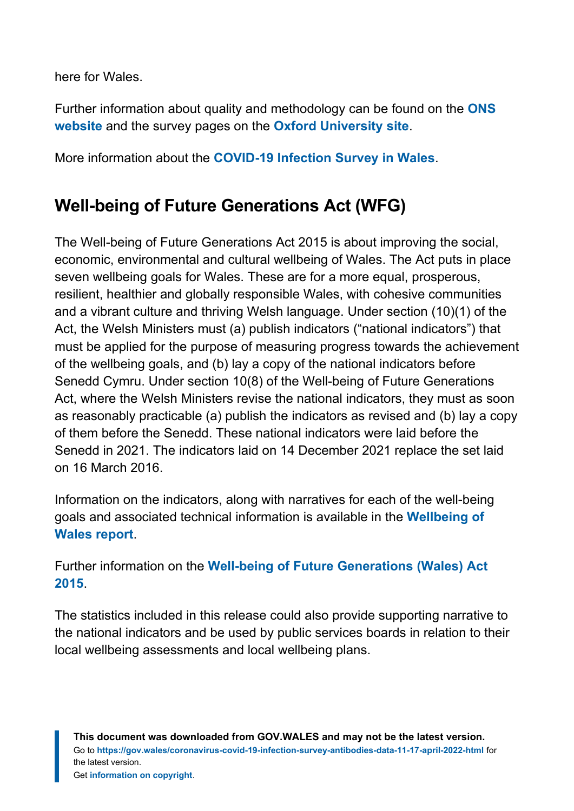here for Wales.

Further information about quality and methodology can be found on the **[ONS](https://www.ons.gov.uk/peoplepopulationandcommunity/healthandsocialcare/conditionsanddiseases/methodologies/covid19infectionsurveypilotmethodsandfurtherinformation) [website](https://www.ons.gov.uk/peoplepopulationandcommunity/healthandsocialcare/conditionsanddiseases/methodologies/covid19infectionsurveypilotmethodsandfurtherinformation)** and the survey pages on the **[Oxford University site](https://www.ndm.ox.ac.uk/covid-19/covid-19-infection-survey)**.

More information about the **[COVID-19 Infection Survey in Wales](https://gov.wales/coronavirus-covid-19-infection-survey-positivity-estimates)**.

#### **Well-being of Future Generations Act (WFG)**

The Well-being of Future Generations Act 2015 is about improving the social, economic, environmental and cultural wellbeing of Wales. The Act puts in place seven wellbeing goals for Wales. These are for a more equal, prosperous, resilient, healthier and globally responsible Wales, with cohesive communities and a vibrant culture and thriving Welsh language. Under section (10)(1) of the Act, the Welsh Ministers must (a) publish indicators ("national indicators") that must be applied for the purpose of measuring progress towards the achievement of the wellbeing goals, and (b) lay a copy of the national indicators before Senedd Cymru. Under section 10(8) of the Well-being of Future Generations Act, where the Welsh Ministers revise the national indicators, they must as soon as reasonably practicable (a) publish the indicators as revised and (b) lay a copy of them before the Senedd. These national indicators were laid before the Senedd in 2021. The indicators laid on 14 December 2021 replace the set laid on 16 March 2016.

Information on the indicators, along with narratives for each of the well-being goals and associated technical information is available in the **[Wellbeing of](https://gov.wales/wellbeing-wales) [Wales report](https://gov.wales/wellbeing-wales)**.

Further information on the **[Well-being of Future Generations \(Wales\) Act](https://gov.wales/well-being-future-generations-wales-act-2015-guidance) [2015](https://gov.wales/well-being-future-generations-wales-act-2015-guidance)**.

The statistics included in this release could also provide supporting narrative to the national indicators and be used by public services boards in relation to their local wellbeing assessments and local wellbeing plans.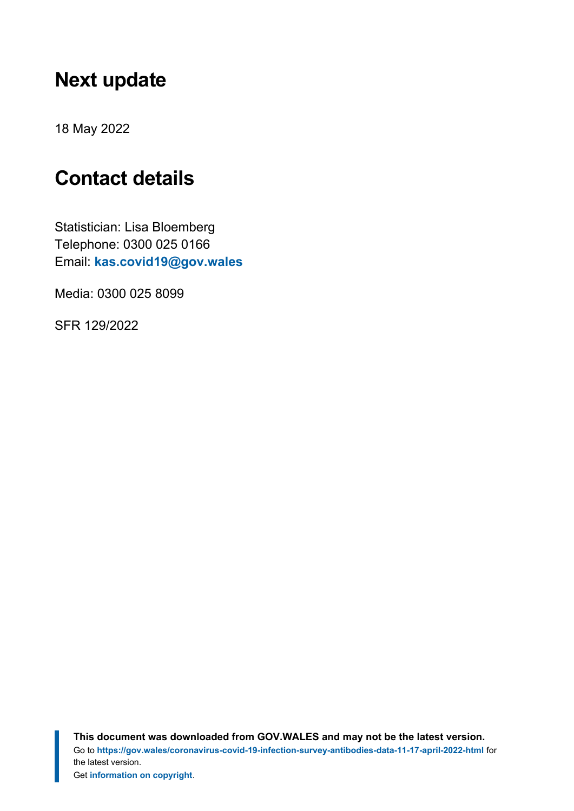## <span id="page-11-0"></span>**Next update**

18 May 2022

## <span id="page-11-1"></span>**Contact details**

Statistician: Lisa Bloemberg Telephone: 0300 025 0166 Email: **[kas.covid19@gov.wales](mailto:kas.covid19@gov.wales)**

Media: 0300 025 8099

SFR 129/2022